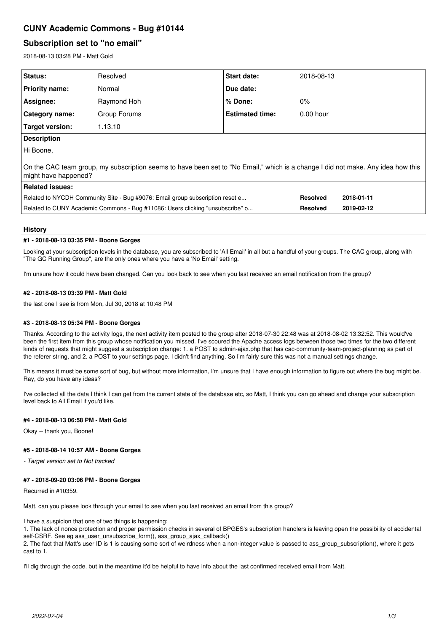# **CUNY Academic Commons - Bug #10144**

## **Subscription set to "no email"**

2018-08-13 03:28 PM - Matt Gold

| <b>Status:</b>                                                                                                                                           | Resolved     | <b>Start date:</b>     | 2018-08-13  |  |  |  |
|----------------------------------------------------------------------------------------------------------------------------------------------------------|--------------|------------------------|-------------|--|--|--|
| Priority name:                                                                                                                                           | Normal       | Due date:              |             |  |  |  |
| Assignee:                                                                                                                                                | Raymond Hoh  | $%$ Done:              | $0\%$       |  |  |  |
| <b>Category name:</b>                                                                                                                                    | Group Forums | <b>Estimated time:</b> | $0.00$ hour |  |  |  |
| <b>Target version:</b>                                                                                                                                   | 1.13.10      |                        |             |  |  |  |
| <b>Description</b>                                                                                                                                       |              |                        |             |  |  |  |
| Hi Boone,                                                                                                                                                |              |                        |             |  |  |  |
| On the CAC team group, my subscription seems to have been set to "No Email," which is a change I did not make. Any idea how this<br>might have happened? |              |                        |             |  |  |  |

| <b>Related issues:</b>                                                        |                 |            |
|-------------------------------------------------------------------------------|-----------------|------------|
| Related to NYCDH Community Site - Bug #9076: Email group subscription reset e | <b>Resolved</b> | 2018-01-11 |
| Related to CUNY Academic Commons - Bug #11086: Users clicking "unsubscribe" o | <b>Resolved</b> | 2019-02-12 |

## **History**

## **#1 - 2018-08-13 03:35 PM - Boone Gorges**

Looking at your subscription levels in the database, you are subscribed to 'All Email' in all but a handful of your groups. The CAC group, along with "The GC Running Group", are the only ones where you have a 'No Email' setting.

I'm unsure how it could have been changed. Can you look back to see when you last received an email notification from the group?

## **#2 - 2018-08-13 03:39 PM - Matt Gold**

the last one I see is from Mon, Jul 30, 2018 at 10:48 PM

## **#3 - 2018-08-13 05:34 PM - Boone Gorges**

Thanks. According to the activity logs, the next activity item posted to the group after 2018-07-30 22:48 was at 2018-08-02 13:32:52. This would've been the first item from this group whose notification you missed. I've scoured the Apache access logs between those two times for the two different kinds of requests that might suggest a subscription change: 1. a POST to admin-ajax.php that has cac-community-team-project-planning as part of the referer string, and 2. a POST to your settings page. I didn't find anything. So I'm fairly sure this was not a manual settings change.

This means it must be some sort of bug, but without more information, I'm unsure that I have enough information to figure out where the bug might be. Ray, do you have any ideas?

I've collected all the data I think I can get from the current state of the database etc, so Matt, I think you can go ahead and change your subscription level back to All Email if you'd like.

## **#4 - 2018-08-13 06:58 PM - Matt Gold**

Okay -- thank you, Boone!

#### **#5 - 2018-08-14 10:57 AM - Boone Gorges**

*- Target version set to Not tracked*

## **#7 - 2018-09-20 03:06 PM - Boone Gorges**

Recurred in #10359.

Matt, can you please look through your email to see when you last received an email from this group?

I have a suspicion that one of two things is happening:

1. The lack of nonce protection and proper permission checks in several of BPGES's subscription handlers is leaving open the possibility of accidental self-CSRF. See eg ass\_user\_unsubscribe\_form(), ass\_group\_ajax\_callback()

2. The fact that Matt's user ID is 1 is causing some sort of weirdness when a non-integer value is passed to ass\_group\_subscription(), where it gets cast to 1.

I'll dig through the code, but in the meantime it'd be helpful to have info about the last confirmed received email from Matt.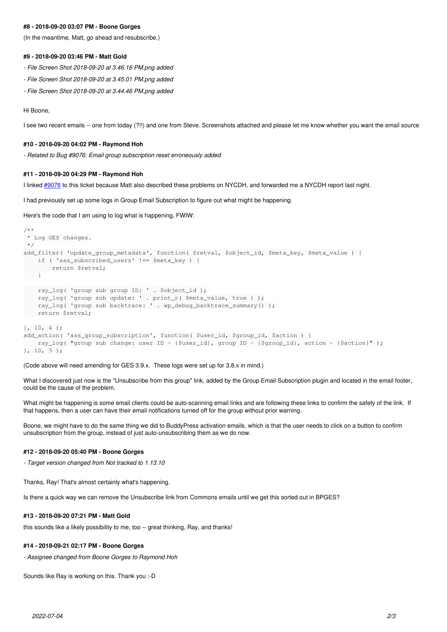## **#8 - 2018-09-20 03:07 PM - Boone Gorges**

(In the meantime, Matt, go ahead and resubscribe.)

#### **#9 - 2018-09-20 03:46 PM - Matt Gold**

- *File Screen Shot 2018-09-20 at 3.46.16 PM.png added*
- *File Screen Shot 2018-09-20 at 3.45.01 PM.png added*
- *File Screen Shot 2018-09-20 at 3.44.46 PM.png added*

#### Hi Boone,

I see two recent emails -- one from today (?!!) and one from Steve. Screenshots attached and please let me know whether you want the email source

## **#10 - 2018-09-20 04:02 PM - Raymond Hoh**

*- Related to Bug #9076: Email group subscription reset erroneously added*

## **#11 - 2018-09-20 04:29 PM - Raymond Hoh**

I linked [#9076](https://redmine.gc.cuny.edu/issues/9076) to this ticket because Matt also described these problems on NYCDH, and forwarded me a NYCDH report last night.

I had previously set up some logs in Group Email Subscription to figure out what might be happening.

Here's the code that I am using to log what is happening, FWIW:

```
/**
 * Log GES changes.
 */
add_filter( 'update_group_metadata', function( $retval, $object_id, $meta_key, $meta_value ) {
        if ( 'ass_subscribed_users' !== $meta_key ) {
                return $retval;
\left\{\begin{array}{cc}1&1\\1&1\end{array}\right\}    ray_log( 'group sub group ID: ' . $object_id );
        ray_log( 'group sub update: ' . print_r( $meta_value, true ) );
        ray_log( 'group sub backtrace: ' . wp_debug_backtrace_summary() );
     return $retval;
}, 10, 4 );
add action( 'ass group subscription', function( $user id, $group id, $action ) {
        ray_log( "group sub change: user ID - {$user_id}, group ID - {$group_id}, action - {$action}" );
}, 10, 3 );
```
#### (Code above will need amending for GES 3.9.x. These logs were set up for 3.8.x in mind.)

What I discovered just now is the "Unsubscribe from this group" link, added by the Group Email Subscription plugin and located in the email footer, could be the cause of the problem.

What might be happening is some email clients could be auto-scanning email links and are following these links to confirm the safety of the link. If that happens, then a user can have their email notifications turned off for the group without prior warning.

Boone, we might have to do the same thing we did to BuddyPress activation emails, which is that the user needs to click on a button to confirm unsubscription from the group, instead of just auto-unsubscribing them as we do now.

#### **#12 - 2018-09-20 05:40 PM - Boone Gorges**

*- Target version changed from Not tracked to 1.13.10*

Thanks, Ray! That's almost certainly what's happening.

Is there a quick way we can remove the Unsubscribe link from Commons emails until we get this sorted out in BPGES?

### **#13 - 2018-09-20 07:21 PM - Matt Gold**

this sounds like a likely possibility to me, too -- great thinking, Ray, and thanks!

## **#14 - 2018-09-21 02:17 PM - Boone Gorges**

*- Assignee changed from Boone Gorges to Raymond Hoh*

Sounds like Ray is working on this. Thank you :-D